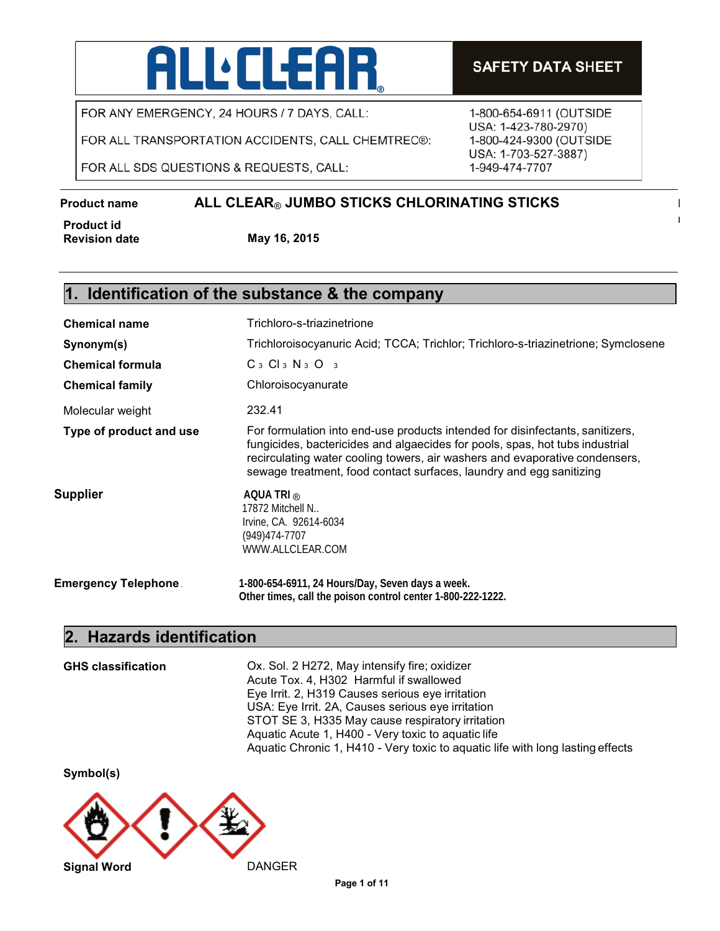# **ALL** CLEAR

FOR ANY EMERGENCY, 24 HOURS / 7 DAYS, CALL:

FOR ALL TRANSPORTATION ACCIDENTS, CALL CHEMTREC®:

FOR ALL SDS QUESTIONS & REQUESTS, CALL:

### **SAFETY DATA SHEET**

1-800-654-6911 (OUTSIDE USA: 1-423-780-2970) 1-800-424-9300 (OUTSIDE USA: 1-703-527-3887) 1-949-474-7707

#### **Product name**  $ALL CLEAR_{\odot}$  **JUMBO STICKS CHLORINATING STICKS**

**<sup>r</sup> Product id Revision date May 16, 2015**

### **1. Identification of the substance & the company**

| <b>Chemical name</b>    | Trichloro-s-triazinetrione                                                                                                                                                                                                                                                                                          |  |  |
|-------------------------|---------------------------------------------------------------------------------------------------------------------------------------------------------------------------------------------------------------------------------------------------------------------------------------------------------------------|--|--|
| Synonym(s)              | Trichloroisocyanuric Acid; TCCA; Trichlor; Trichloro-s-triazinetrione; Symclosene                                                                                                                                                                                                                                   |  |  |
| <b>Chemical formula</b> | $C_3$ $Cl_3$ $N_3$ $O_3$                                                                                                                                                                                                                                                                                            |  |  |
| <b>Chemical family</b>  | Chloroisocyanurate                                                                                                                                                                                                                                                                                                  |  |  |
| Molecular weight        | 232.41                                                                                                                                                                                                                                                                                                              |  |  |
| Type of product and use | For formulation into end-use products intended for disinfectants, sanitizers,<br>fungicides, bactericides and algaecides for pools, spas, hot tubs industrial<br>recirculating water cooling towers, air washers and evaporative condensers,<br>sewage treatment, food contact surfaces, laundry and egg sanitizing |  |  |
| Supplier                | AQUA TRI $_{\odot}$<br>17872 Mitchell N<br>Irvine, CA. 92614-6034<br>(949)474-7707<br>WWW.ALLCLEAR.COM                                                                                                                                                                                                              |  |  |
| Emergency Telephone .   | 1-800-654-6911, 24 Hours/Day, Seven days a week.<br>Other times, call the poison control center 1-800-222-1222.                                                                                                                                                                                                     |  |  |

### **2. Hazards identification**

**GHS classification** Ox. Sol. 2 H272, May intensify fire; oxidizer Acute Tox. 4, H302 Harmful if swallowed Eye Irrit. 2, H319 Causes serious eye irritation USA: Eye Irrit. 2A, Causes serious eye irritation STOT SE 3, H335 May cause respiratory irritation Aquatic Acute 1, H400 - Very toxic to aquatic life Aquatic Chronic 1, H410 - Very toxic to aquatic life with long lasting effects

**Symbol(s)**

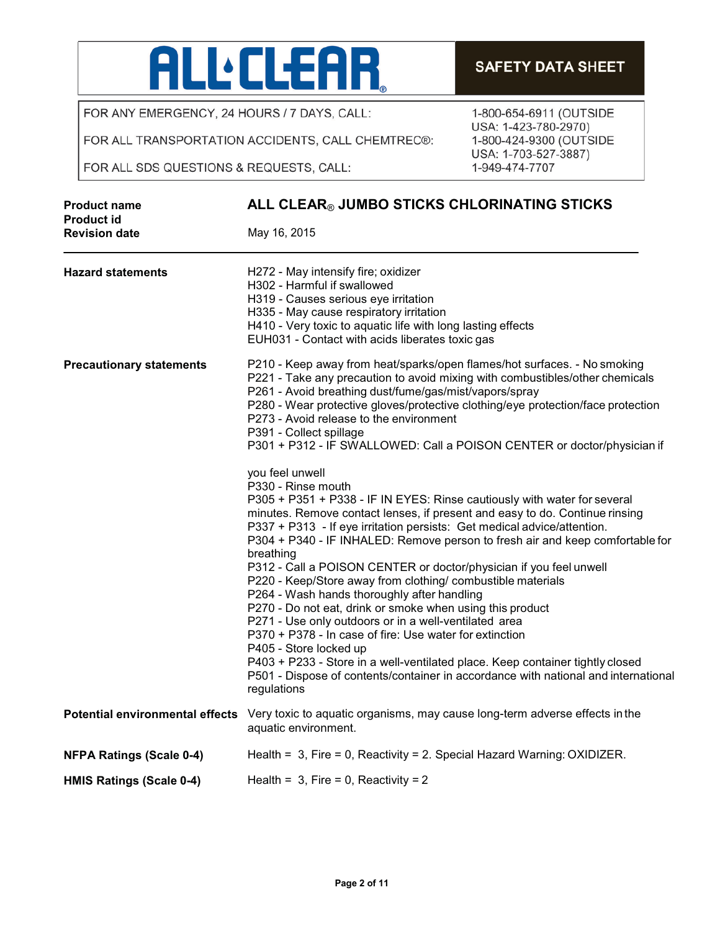

FOR ANY EMERGENCY, 24 HOURS / 7 DAYS, CALL:

FOR ALL TRANSPORTATION ACCIDENTS, CALL CHEMTREC®:

FOR ALL SDS QUESTIONS & REQUESTS, CALL:

| - SAFETT DATA SHEET |
|---------------------|
|                     |
|                     |

1-800-654-6911 (OUTSIDE USA: 1-423-780-2970) 1-800-424-9300 (OUTSIDE USA: 1-703-527-3887) 1-949-474-7707

| <b>Product name</b><br><b>Product id</b> | ALL CLEAR® JUMBO STICKS CHLORINATING STICKS                                                                                                                                                                                                                                                                                                                                                                                                                                                                                                                                                                                                                                                                                                                                                                                                                                                                                                                    |  |  |
|------------------------------------------|----------------------------------------------------------------------------------------------------------------------------------------------------------------------------------------------------------------------------------------------------------------------------------------------------------------------------------------------------------------------------------------------------------------------------------------------------------------------------------------------------------------------------------------------------------------------------------------------------------------------------------------------------------------------------------------------------------------------------------------------------------------------------------------------------------------------------------------------------------------------------------------------------------------------------------------------------------------|--|--|
| <b>Revision date</b>                     | May 16, 2015                                                                                                                                                                                                                                                                                                                                                                                                                                                                                                                                                                                                                                                                                                                                                                                                                                                                                                                                                   |  |  |
| <b>Hazard statements</b>                 | H272 - May intensify fire; oxidizer<br>H302 - Harmful if swallowed<br>H319 - Causes serious eye irritation<br>H335 - May cause respiratory irritation<br>H410 - Very toxic to aquatic life with long lasting effects<br>EUH031 - Contact with acids liberates toxic gas                                                                                                                                                                                                                                                                                                                                                                                                                                                                                                                                                                                                                                                                                        |  |  |
| <b>Precautionary statements</b>          | P210 - Keep away from heat/sparks/open flames/hot surfaces. - No smoking<br>P221 - Take any precaution to avoid mixing with combustibles/other chemicals<br>P261 - Avoid breathing dust/fume/gas/mist/vapors/spray<br>P280 - Wear protective gloves/protective clothing/eye protection/face protection<br>P273 - Avoid release to the environment<br>P391 - Collect spillage<br>P301 + P312 - IF SWALLOWED: Call a POISON CENTER or doctor/physician if                                                                                                                                                                                                                                                                                                                                                                                                                                                                                                        |  |  |
|                                          | you feel unwell<br>P330 - Rinse mouth<br>P305 + P351 + P338 - IF IN EYES: Rinse cautiously with water for several<br>minutes. Remove contact lenses, if present and easy to do. Continue rinsing<br>P337 + P313 - If eye irritation persists: Get medical advice/attention.<br>P304 + P340 - IF INHALED: Remove person to fresh air and keep comfortable for<br>breathing<br>P312 - Call a POISON CENTER or doctor/physician if you feel unwell<br>P220 - Keep/Store away from clothing/ combustible materials<br>P264 - Wash hands thoroughly after handling<br>P270 - Do not eat, drink or smoke when using this product<br>P271 - Use only outdoors or in a well-ventilated area<br>P370 + P378 - In case of fire: Use water for extinction<br>P405 - Store locked up<br>P403 + P233 - Store in a well-ventilated place. Keep container tightly closed<br>P501 - Dispose of contents/container in accordance with national and international<br>regulations |  |  |
|                                          | Potential environmental effects Very toxic to aquatic organisms, may cause long-term adverse effects in the<br>aquatic environment.                                                                                                                                                                                                                                                                                                                                                                                                                                                                                                                                                                                                                                                                                                                                                                                                                            |  |  |
| <b>NFPA Ratings (Scale 0-4)</b>          | Health = $3$ , Fire = 0, Reactivity = 2. Special Hazard Warning: OXIDIZER.                                                                                                                                                                                                                                                                                                                                                                                                                                                                                                                                                                                                                                                                                                                                                                                                                                                                                     |  |  |
| <b>HMIS Ratings (Scale 0-4)</b>          | Health = $3$ , Fire = 0, Reactivity = 2                                                                                                                                                                                                                                                                                                                                                                                                                                                                                                                                                                                                                                                                                                                                                                                                                                                                                                                        |  |  |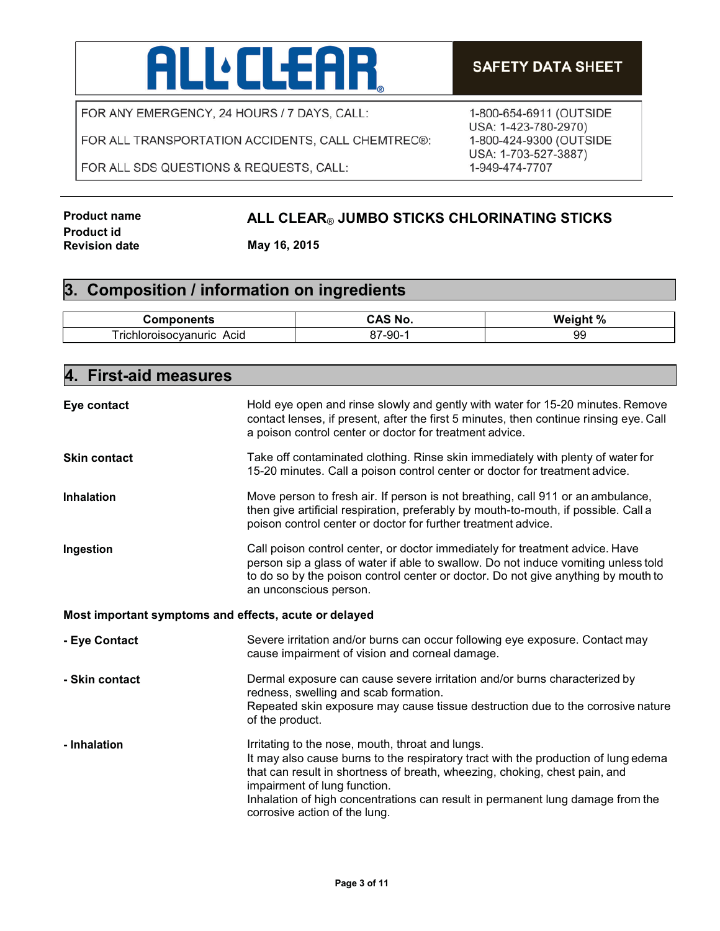# **ALL** CLEAR

FOR ANY EMERGENCY, 24 HOURS / 7 DAYS, CALL:

FOR ALL TRANSPORTATION ACCIDENTS, CALL CHEMTREC®:

FOR ALL SDS QUESTIONS & REQUESTS, CALL:

### **SAFETY DATA SHEET**

1-800-654-6911 (OUTSIDE USA: 1-423-780-2970) 1-800-424-9300 (OUTSIDE USA: 1-703-527-3887) 1-949-474-7707

**Product id Revision date May 16, 2015**

### **Product name ALL CLEAR**® **JUMBO STICKS CHLORINATING STICKS**

### **3. Composition / information on ingredients**

| .                                        |                   | $\Omega$<br>.<br>w<br> |
|------------------------------------------|-------------------|------------------------|
| $-$<br>rıc<br>\cıa<br>ш<br>$\sim$ $\sim$ | റ്<br>- 91<br>ึงบ | 99                     |

| <b>First-aid measures</b><br>4.                       |                                                                                                                                                                                                                                                                                                                                                                         |  |
|-------------------------------------------------------|-------------------------------------------------------------------------------------------------------------------------------------------------------------------------------------------------------------------------------------------------------------------------------------------------------------------------------------------------------------------------|--|
| Eye contact                                           | Hold eye open and rinse slowly and gently with water for 15-20 minutes. Remove<br>contact lenses, if present, after the first 5 minutes, then continue rinsing eye. Call<br>a poison control center or doctor for treatment advice.                                                                                                                                     |  |
| <b>Skin contact</b>                                   | Take off contaminated clothing. Rinse skin immediately with plenty of water for<br>15-20 minutes. Call a poison control center or doctor for treatment advice.                                                                                                                                                                                                          |  |
| <b>Inhalation</b>                                     | Move person to fresh air. If person is not breathing, call 911 or an ambulance,<br>then give artificial respiration, preferably by mouth-to-mouth, if possible. Call a<br>poison control center or doctor for further treatment advice.                                                                                                                                 |  |
| Ingestion                                             | Call poison control center, or doctor immediately for treatment advice. Have<br>person sip a glass of water if able to swallow. Do not induce vomiting unless told<br>to do so by the poison control center or doctor. Do not give anything by mouth to<br>an unconscious person.                                                                                       |  |
| Most important symptoms and effects, acute or delayed |                                                                                                                                                                                                                                                                                                                                                                         |  |
| - Eye Contact                                         | Severe irritation and/or burns can occur following eye exposure. Contact may<br>cause impairment of vision and corneal damage.                                                                                                                                                                                                                                          |  |
| - Skin contact                                        | Dermal exposure can cause severe irritation and/or burns characterized by<br>redness, swelling and scab formation.<br>Repeated skin exposure may cause tissue destruction due to the corrosive nature<br>of the product.                                                                                                                                                |  |
| - Inhalation                                          | Irritating to the nose, mouth, throat and lungs.<br>It may also cause burns to the respiratory tract with the production of lung edema<br>that can result in shortness of breath, wheezing, choking, chest pain, and<br>impairment of lung function.<br>Inhalation of high concentrations can result in permanent lung damage from the<br>corrosive action of the lung. |  |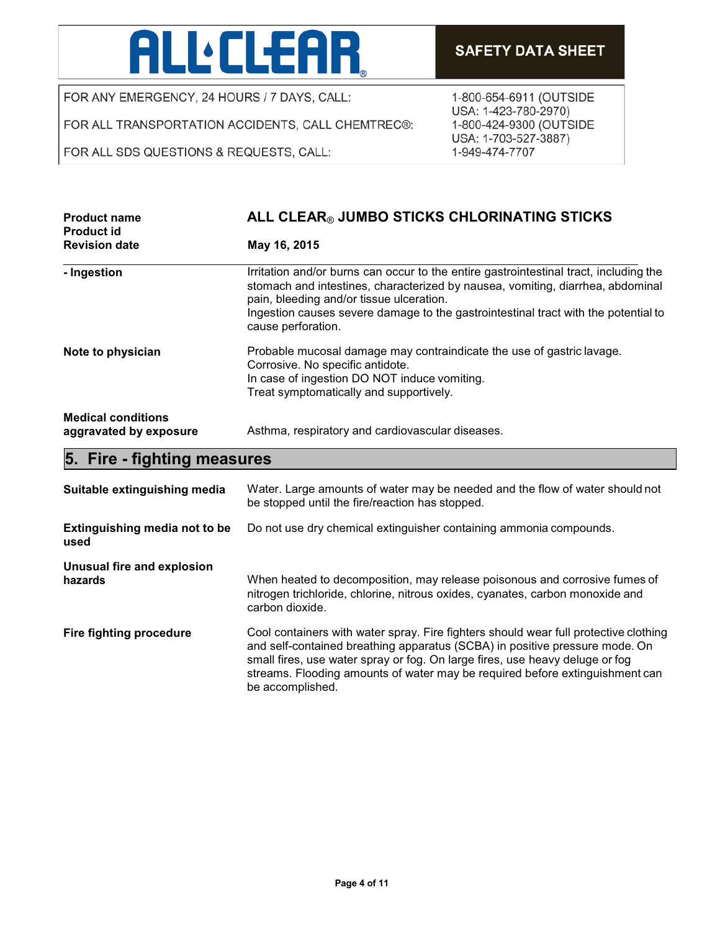# **ALL:CLEAR**

FOR ANY EMERGENCY, 24 HOURS / 7 DAYS, CALL:

FOR ALL TRANSPORTATION ACCIDENTS, CALL CHEMTREC®:

FOR ALL SDS QUESTIONS & REQUESTS, CALL:

1-800-654-6911 (OUTSIDE USA: 1-423-780-2970) 1-800-424-9300 (OUTSIDE USA: 1-703-527-3887) 1-949-474-7707

| <b>Product name</b><br><b>Product id</b>            | ALL CLEAR® JUMBO STICKS CHLORINATING STICKS                                                                                                                                                                                                                                                                                     |  |
|-----------------------------------------------------|---------------------------------------------------------------------------------------------------------------------------------------------------------------------------------------------------------------------------------------------------------------------------------------------------------------------------------|--|
| <b>Revision date</b>                                | May 16, 2015                                                                                                                                                                                                                                                                                                                    |  |
| - Ingestion                                         | Irritation and/or burns can occur to the entire gastrointestinal tract, including the<br>stomach and intestines, characterized by nausea, vomiting, diarrhea, abdominal<br>pain, bleeding and/or tissue ulceration.<br>Ingestion causes severe damage to the gastrointestinal tract with the potential to<br>cause perforation. |  |
| Note to physician                                   | Probable mucosal damage may contraindicate the use of gastric lavage.<br>Corrosive. No specific antidote.<br>In case of ingestion DO NOT induce vomiting.<br>Treat symptomatically and supportively.                                                                                                                            |  |
| <b>Medical conditions</b><br>aggravated by exposure | Asthma, respiratory and cardiovascular diseases.                                                                                                                                                                                                                                                                                |  |
| 5. Fire - fighting measures                         |                                                                                                                                                                                                                                                                                                                                 |  |

| Suitable extinguishing media          | Water. Large amounts of water may be needed and the flow of water should not<br>be stopped until the fire/reaction has stopped.                                                                                                                                                                                                                         |
|---------------------------------------|---------------------------------------------------------------------------------------------------------------------------------------------------------------------------------------------------------------------------------------------------------------------------------------------------------------------------------------------------------|
| Extinguishing media not to be<br>used | Do not use dry chemical extinguisher containing ammonia compounds.                                                                                                                                                                                                                                                                                      |
| Unusual fire and explosion<br>hazards | When heated to decomposition, may release poisonous and corrosive fumes of<br>nitrogen trichloride, chlorine, nitrous oxides, cyanates, carbon monoxide and<br>carbon dioxide.                                                                                                                                                                          |
| Fire fighting procedure               | Cool containers with water spray. Fire fighters should wear full protective clothing<br>and self-contained breathing apparatus (SCBA) in positive pressure mode. On<br>small fires, use water spray or fog. On large fires, use heavy deluge or fog<br>streams. Flooding amounts of water may be required before extinguishment can<br>be accomplished. |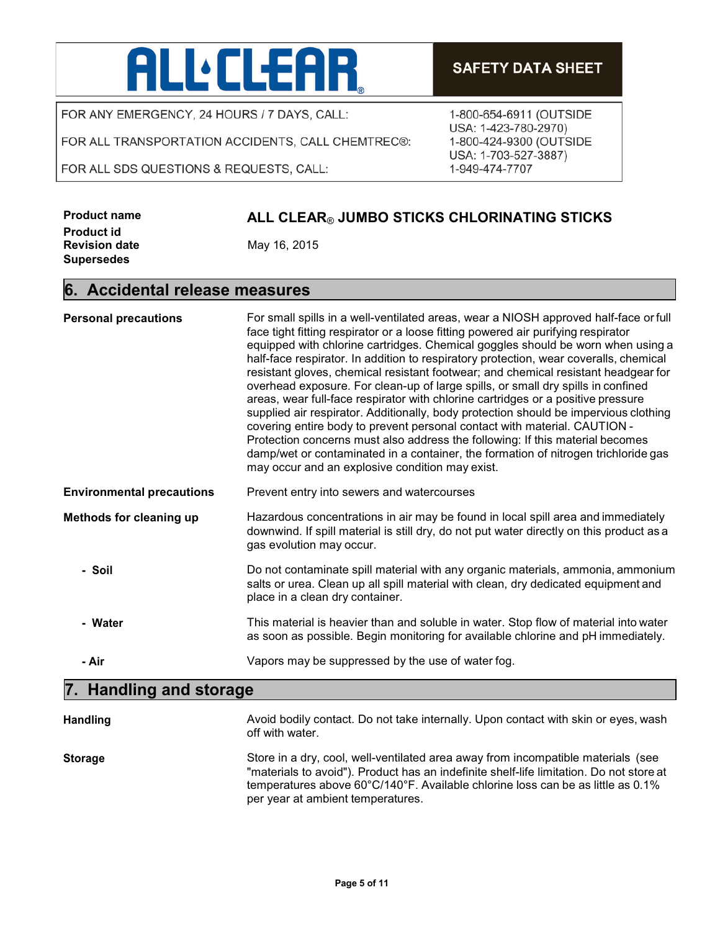## **ALL:CLEAR**

FOR ANY EMERGENCY, 24 HOURS / 7 DAYS, CALL:

FOR ALL TRANSPORTATION ACCIDENTS, CALL CHEMTREC®:

FOR ALL SDS QUESTIONS & REQUESTS, CALL:

### **SAFETY DATA SHEET**

1-800-654-6911 (OUTSIDE USA: 1-423-780-2970) 1-800-424-9300 (OUTSIDE USA: 1-703-527-3887) 1-949-474-7707

| <b>Product name</b>  |  |
|----------------------|--|
| <b>Product id</b>    |  |
| <b>Revision date</b> |  |
| <b>Supersedes</b>    |  |

#### **Product name ALL CLEAR**® **JUMBO STICKS CHLORINATING STICKS**

**Revision date** May 16, 2015

#### **6. Accidental release measures**

| <b>Personal precautions</b>       | For small spills in a well-ventilated areas, wear a NIOSH approved half-face or full<br>face tight fitting respirator or a loose fitting powered air purifying respirator<br>equipped with chlorine cartridges. Chemical goggles should be worn when using a<br>half-face respirator. In addition to respiratory protection, wear coveralls, chemical<br>resistant gloves, chemical resistant footwear; and chemical resistant headgear for<br>overhead exposure. For clean-up of large spills, or small dry spills in confined<br>areas, wear full-face respirator with chlorine cartridges or a positive pressure<br>supplied air respirator. Additionally, body protection should be impervious clothing<br>covering entire body to prevent personal contact with material. CAUTION -<br>Protection concerns must also address the following: If this material becomes<br>damp/wet or contaminated in a container, the formation of nitrogen trichloride gas<br>may occur and an explosive condition may exist. |  |
|-----------------------------------|--------------------------------------------------------------------------------------------------------------------------------------------------------------------------------------------------------------------------------------------------------------------------------------------------------------------------------------------------------------------------------------------------------------------------------------------------------------------------------------------------------------------------------------------------------------------------------------------------------------------------------------------------------------------------------------------------------------------------------------------------------------------------------------------------------------------------------------------------------------------------------------------------------------------------------------------------------------------------------------------------------------------|--|
| <b>Environmental precautions</b>  | Prevent entry into sewers and watercourses                                                                                                                                                                                                                                                                                                                                                                                                                                                                                                                                                                                                                                                                                                                                                                                                                                                                                                                                                                         |  |
| Methods for cleaning up           | Hazardous concentrations in air may be found in local spill area and immediately<br>downwind. If spill material is still dry, do not put water directly on this product as a<br>gas evolution may occur.                                                                                                                                                                                                                                                                                                                                                                                                                                                                                                                                                                                                                                                                                                                                                                                                           |  |
| - Soil                            | Do not contaminate spill material with any organic materials, ammonia, ammonium<br>salts or urea. Clean up all spill material with clean, dry dedicated equipment and<br>place in a clean dry container.                                                                                                                                                                                                                                                                                                                                                                                                                                                                                                                                                                                                                                                                                                                                                                                                           |  |
| - Water                           | This material is heavier than and soluble in water. Stop flow of material into water<br>as soon as possible. Begin monitoring for available chlorine and pH immediately.                                                                                                                                                                                                                                                                                                                                                                                                                                                                                                                                                                                                                                                                                                                                                                                                                                           |  |
| - Air                             | Vapors may be suppressed by the use of water fog.                                                                                                                                                                                                                                                                                                                                                                                                                                                                                                                                                                                                                                                                                                                                                                                                                                                                                                                                                                  |  |
| 7.<br><b>Handling and storage</b> |                                                                                                                                                                                                                                                                                                                                                                                                                                                                                                                                                                                                                                                                                                                                                                                                                                                                                                                                                                                                                    |  |

| <b>Handling</b> | Avoid bodily contact. Do not take internally. Upon contact with skin or eyes, wash<br>off with water.                                                                       |
|-----------------|-----------------------------------------------------------------------------------------------------------------------------------------------------------------------------|
| Storage         | Store in a dry, cool, well-ventilated area away from incompatible materials (see<br>"materials to avoid"). Product has an indefinite shelf-life limitation. Do not store at |
|                 | temperatures above $60^{\circ}C/140^{\circ}F$ . Available chlorine loss can be as little as 0.1%                                                                            |

per year at ambient temperatures.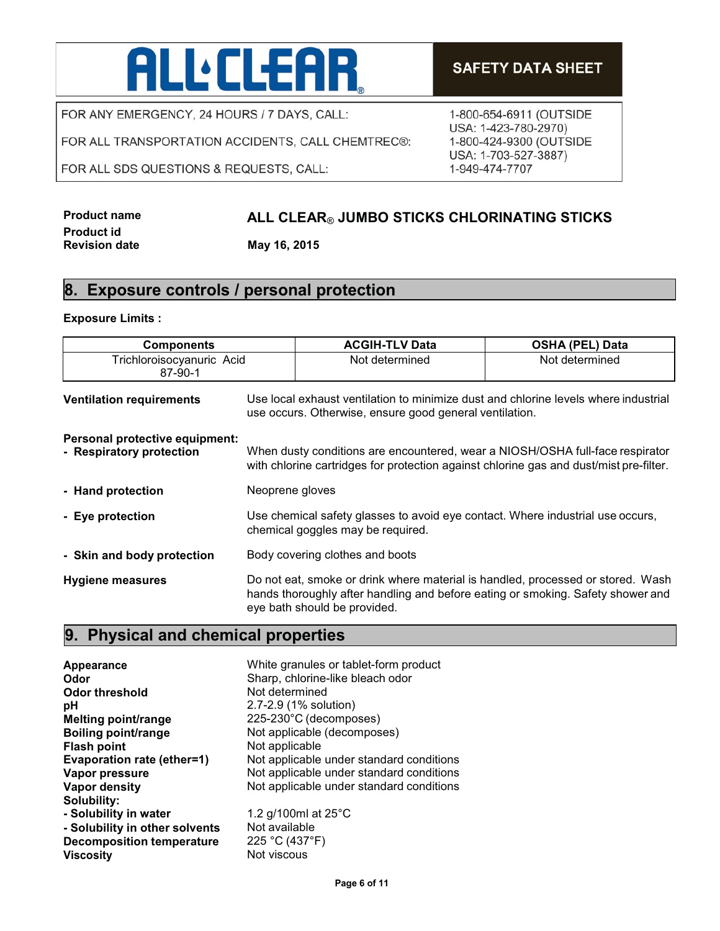## **ALLELEAR**

FOR ANY EMERGENCY, 24 HOURS / 7 DAYS, CALL:

FOR ALL TRANSPORTATION ACCIDENTS, CALL CHEMTREC®:

FOR ALL SDS QUESTIONS & REQUESTS, CALL:

### **SAFETY DATA SHEET**

1-800-654-6911 (OUTSIDE USA: 1-423-780-2970) 1-800-424-9300 (OUTSIDE USA: 1-703-527-3887) 1-949-474-7707

### **Product name ALL CLEAR**® **JUMBO STICKS CHLORINATING STICKS**

**Revision date May 16, 2015**

#### **8. Exposure controls / personal protection**

#### **Exposure Limits :**

**Product id** 

| <b>Components</b>                                          |                                                                                                                                                                                                    | <b>ACGIH-TLV Data</b>                                                                                                                                                   | <b>OSHA (PEL) Data</b> |
|------------------------------------------------------------|----------------------------------------------------------------------------------------------------------------------------------------------------------------------------------------------------|-------------------------------------------------------------------------------------------------------------------------------------------------------------------------|------------------------|
| Trichloroisocyanuric Acid<br>87-90-1                       |                                                                                                                                                                                                    | Not determined                                                                                                                                                          | Not determined         |
| <b>Ventilation requirements</b>                            | Use local exhaust ventilation to minimize dust and chlorine levels where industrial<br>use occurs. Otherwise, ensure good general ventilation.                                                     |                                                                                                                                                                         |                        |
| Personal protective equipment:<br>- Respiratory protection |                                                                                                                                                                                                    | When dusty conditions are encountered, wear a NIOSH/OSHA full-face respirator<br>with chlorine cartridges for protection against chlorine gas and dust/mist pre-filter. |                        |
| - Hand protection                                          | Neoprene gloves                                                                                                                                                                                    |                                                                                                                                                                         |                        |
| - Eye protection                                           | Use chemical safety glasses to avoid eye contact. Where industrial use occurs,<br>chemical goggles may be required.                                                                                |                                                                                                                                                                         |                        |
| - Skin and body protection                                 | Body covering clothes and boots                                                                                                                                                                    |                                                                                                                                                                         |                        |
| <b>Hygiene measures</b>                                    | Do not eat, smoke or drink where material is handled, processed or stored. Wash<br>hands thoroughly after handling and before eating or smoking. Safety shower and<br>eye bath should be provided. |                                                                                                                                                                         |                        |

### **9. Physical and chemical properties**

**Appearance** White granules or tablet-form product **Odor**<br> **Odor** threshold<br> **Odor threshold**<br> **Sharp, chlorine-like bleach odor**<br>
Not determined **Odor threshold pH** 2.7-2.9 (1% solution) **Melting point/range** 225-230°C (decomposes) **Boiling point/range** Not applicable (decomposes) **Flash point** Not applicable **Evaporation rate (ether=1)** Not applicable under standard conditions **Vapor pressure** Not applicable under standard conditions **Vapor density** Not applicable under standard conditions **Solubility: - Solubility in water** 1.2 g/100ml at 25°C **- Solubility in other solvents** Not available<br>**Decomposition temperature** 225 °C (437°F) **Decomposition temperature**<br>Viscosity **Not viscous**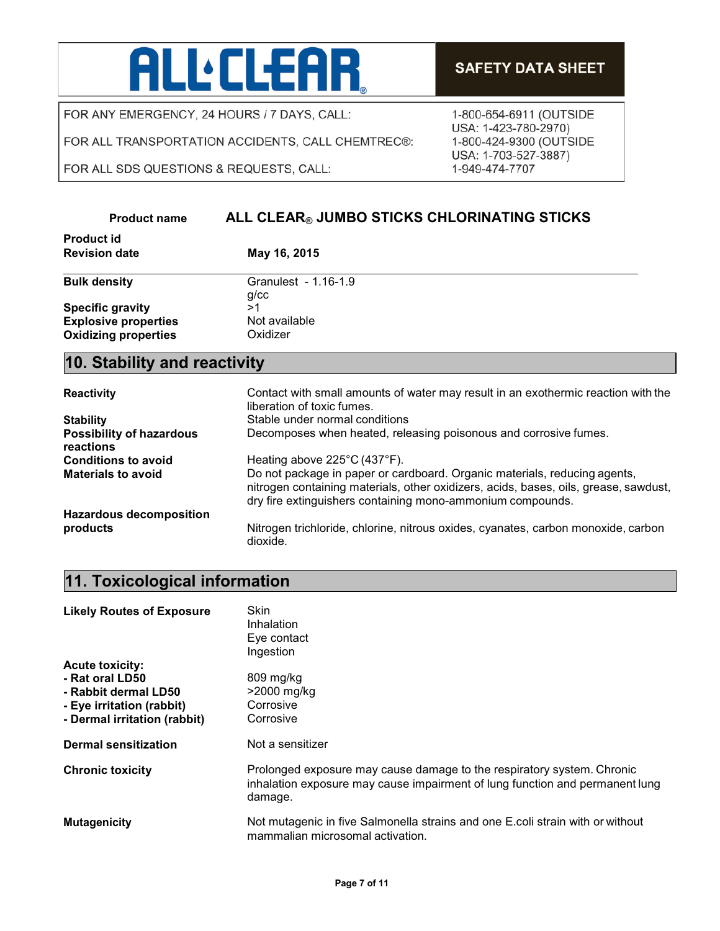# **ALLELEAR**

FOR ANY EMERGENCY, 24 HOURS / 7 DAYS, CALL:

FOR ALL TRANSPORTATION ACCIDENTS, CALL CHEMTREC®:

FOR ALL SDS QUESTIONS & REQUESTS, CALL:

- Rabbit dermal LD50

1-800-654-6911 (OUTSIDE USA: 1-423-780-2970)

1-800-424-9300 (OUTSIDE USA: 1-703-527-3887) 1-949-474-7707

lung

#### ALL CLEAR® JUMBO STICKS CHLORINATING STICKS **Product name Product id Revision date** May 16, 2015 **Bulk density** Granulest - 1.16-1.9  $g$ / $cc$ **Specific gravity**  $>1$ **Explosive properties** Not available **Oxidizing properties** Oxidizer 10. Stability and reactivity Contact with small amounts of water may result in an exothermic reaction with the **Reactivity** liberation of toxic fumes. Stable under normal conditions **Stability Possibility of hazardous** Decomposes when heated, releasing poisonous and corrosive fumes. reactions **Conditions to avoid** Heating above 225°C (437°F). **Materials to avoid** Do not package in paper or cardboard. Organic materials, reducing agents, nitrogen containing materials, other oxidizers, acids, bases, oils, grease, sawdust, dry fire extinguishers containing mono-ammonium compounds. **Hazardous decomposition** Nitrogen trichloride, chlorine, nitrous oxides, cyanates, carbon monoxide, carbon products dioxide. 11. Toxicological information Skin **Likely Routes of Exposure** Inhalation Eye contact Ingestion **Acute toxicity:** - Rat oral LD50 809 mg/kg

| - Eye irritation (rabbit)<br>- Dermal irritation (rabbit) | Corrosive<br>Corrosive                                                                                                                                          |
|-----------------------------------------------------------|-----------------------------------------------------------------------------------------------------------------------------------------------------------------|
| <b>Dermal sensitization</b>                               | Not a sensitizer                                                                                                                                                |
| <b>Chronic toxicity</b>                                   | Prolonged exposure may cause damage to the respiratory system. Chronic<br>inhalation exposure may cause impairment of lung function and permanent lu<br>damage. |
| <b>Mutagenicity</b>                                       | Not mutagenic in five Salmonella strains and one E.coli strain with or without<br>mammalian microsomal activation.                                              |

>2000 mg/kg

### **SAFETY DATA SHEET**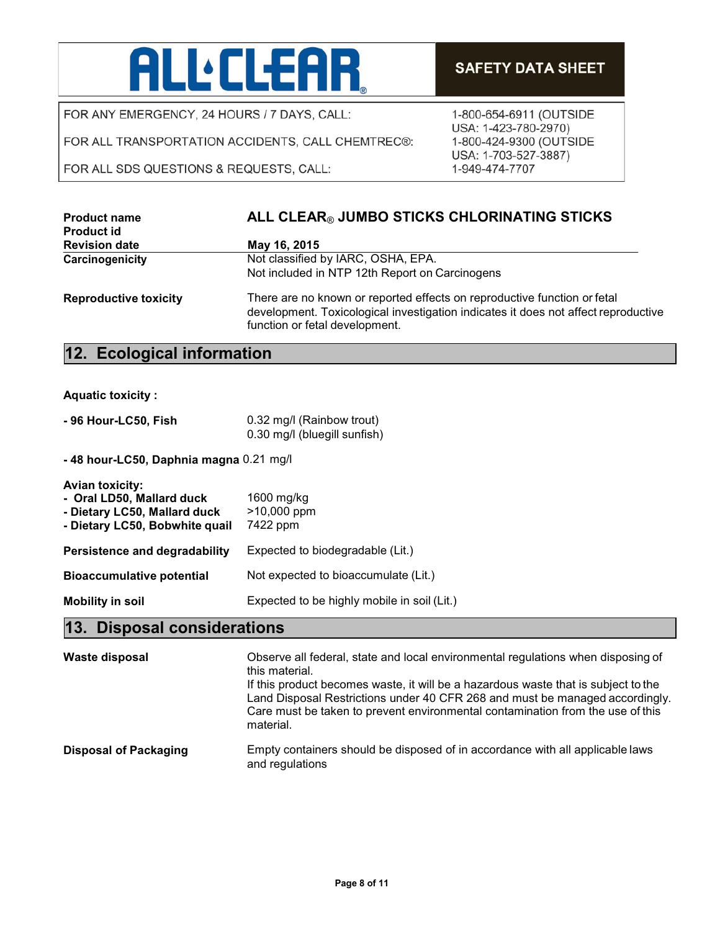# **ALL:CLEAR**

FOR ANY EMERGENCY, 24 HOURS / 7 DAYS, CALL:

FOR ALL TRANSPORTATION ACCIDENTS, CALL CHEMTREC®:

FOR ALL SDS QUESTIONS & REQUESTS, CALL:

1-800-654-6911 (OUTSIDE USA: 1-423-780-2970) 1-800-424-9300 (OUTSIDE USA: 1-703-527-3887) 1-949-474-7707

| <b>Product name</b><br><b>Product id</b> | ALL CLEAR® JUMBO STICKS CHLORINATING STICKS                                                                                                                                                      |
|------------------------------------------|--------------------------------------------------------------------------------------------------------------------------------------------------------------------------------------------------|
| <b>Revision date</b>                     | May 16, 2015                                                                                                                                                                                     |
| Carcinogenicity                          | Not classified by IARC, OSHA, EPA.                                                                                                                                                               |
|                                          | Not included in NTP 12th Report on Carcinogens                                                                                                                                                   |
| <b>Reproductive toxicity</b>             | There are no known or reported effects on reproductive function or fetal<br>development. Toxicological investigation indicates it does not affect reproductive<br>function or fetal development. |

### **12. Ecological information**

**Aquatic toxicity :**

| - 96 Hour-LC50, Fish | 0.32 mg/l (Rainbow trout)    |
|----------------------|------------------------------|
|                      | 0.30 mg/l (bluegill sunfish) |

**- 48 hour-LC50, Daphnia magna** 0.21 mg/l

| <b>Avian toxicity:</b><br>- Oral LD50, Mallard duck<br>- Dietary LC50, Mallard duck<br>- Dietary LC50, Bobwhite quail | 1600 mg/kg<br>>10,000 ppm<br>7422 ppm       |
|-----------------------------------------------------------------------------------------------------------------------|---------------------------------------------|
| Persistence and degradability                                                                                         | Expected to biodegradable (Lit.)            |
| <b>Bioaccumulative potential</b>                                                                                      | Not expected to bioaccumulate (Lit.)        |
| <b>Mobility in soil</b>                                                                                               | Expected to be highly mobile in soil (Lit.) |

### **13. Disposal considerations**

| Waste disposal               | Observe all federal, state and local environmental regulations when disposing of<br>this material.<br>If this product becomes waste, it will be a hazardous waste that is subject to the<br>Land Disposal Restrictions under 40 CFR 268 and must be managed accordingly.<br>Care must be taken to prevent environmental contamination from the use of this<br>material. |
|------------------------------|-------------------------------------------------------------------------------------------------------------------------------------------------------------------------------------------------------------------------------------------------------------------------------------------------------------------------------------------------------------------------|
| <b>Disposal of Packaging</b> | Empty containers should be disposed of in accordance with all applicable laws<br>and regulations                                                                                                                                                                                                                                                                        |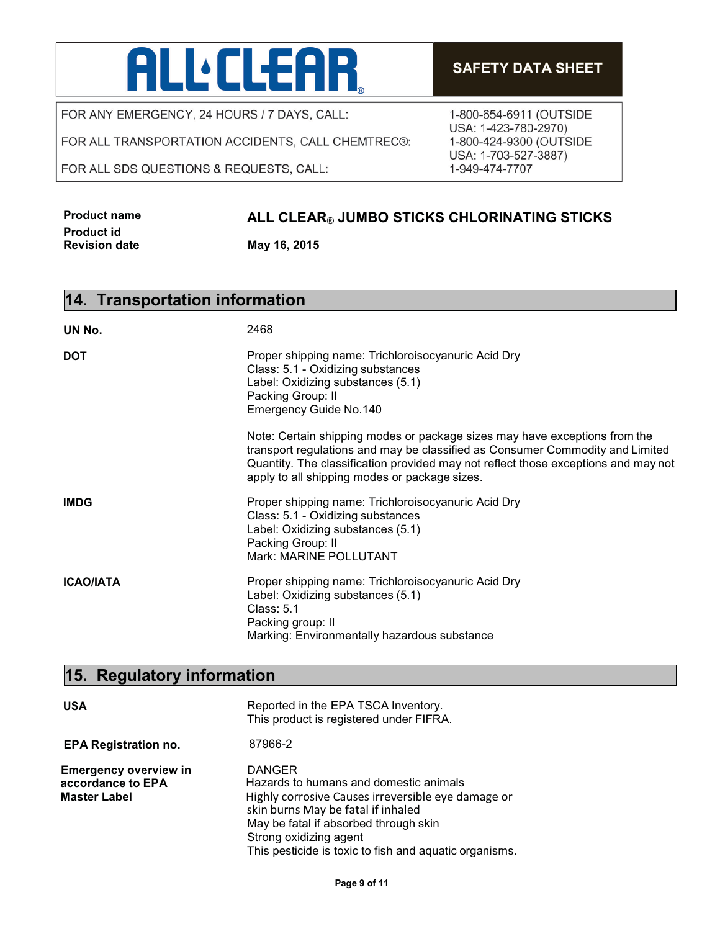### **ALL** CLEAR

FOR ANY EMERGENCY, 24 HOURS / 7 DAYS, CALL:

FOR ALL TRANSPORTATION ACCIDENTS, CALL CHEMTREC®:

FOR ALL SDS QUESTIONS & REQUESTS, CALL:

### **SAFETY DATA SHEET**

1-800-654-6911 (OUTSIDE USA: 1-423-780-2970) 1-800-424-9300 (OUTSIDE USA: 1-703-527-3887) 1-949-474-7707

| <b>Product name</b>  |  |
|----------------------|--|
| <b>Product id</b>    |  |
| <b>Revision date</b> |  |

### **Product name ALL CLEAR**® **JUMBO STICKS CHLORINATING STICKS**

**Revision date May 16, 2015**

| 14. Transportation information |                                                                                                                                                                                                                                                                                                    |
|--------------------------------|----------------------------------------------------------------------------------------------------------------------------------------------------------------------------------------------------------------------------------------------------------------------------------------------------|
| UN No.                         | 2468                                                                                                                                                                                                                                                                                               |
| <b>DOT</b>                     | Proper shipping name: Trichloroisocyanuric Acid Dry<br>Class: 5.1 - Oxidizing substances<br>Label: Oxidizing substances (5.1)<br>Packing Group: II<br><b>Emergency Guide No.140</b>                                                                                                                |
|                                | Note: Certain shipping modes or package sizes may have exceptions from the<br>transport regulations and may be classified as Consumer Commodity and Limited<br>Quantity. The classification provided may not reflect those exceptions and may not<br>apply to all shipping modes or package sizes. |
| IMDG                           | Proper shipping name: Trichloroisocyanuric Acid Dry<br>Class: 5.1 - Oxidizing substances<br>Label: Oxidizing substances (5.1)<br>Packing Group: II<br>Mark: MARINE POLLUTANT                                                                                                                       |
| ICAO/IATA                      | Proper shipping name: Trichloroisocyanuric Acid Dry<br>Label: Oxidizing substances (5.1)<br><b>Class: 5.1</b><br>Packing group: II<br>Marking: Environmentally hazardous substance                                                                                                                 |

### **15. Regulatory information**

| <b>USA</b>                                                               | Reported in the EPA TSCA Inventory.<br>This product is registered under FIFRA.                                                                                                                                                                                                   |
|--------------------------------------------------------------------------|----------------------------------------------------------------------------------------------------------------------------------------------------------------------------------------------------------------------------------------------------------------------------------|
| <b>EPA Registration no.</b>                                              | 87966-2                                                                                                                                                                                                                                                                          |
| <b>Emergency overview in</b><br>accordance to EPA<br><b>Master Label</b> | <b>DANGER</b><br>Hazards to humans and domestic animals<br>Highly corrosive Causes irreversible eye damage or<br>skin burns May be fatal if inhaled<br>May be fatal if absorbed through skin<br>Strong oxidizing agent<br>This pesticide is toxic to fish and aquatic organisms. |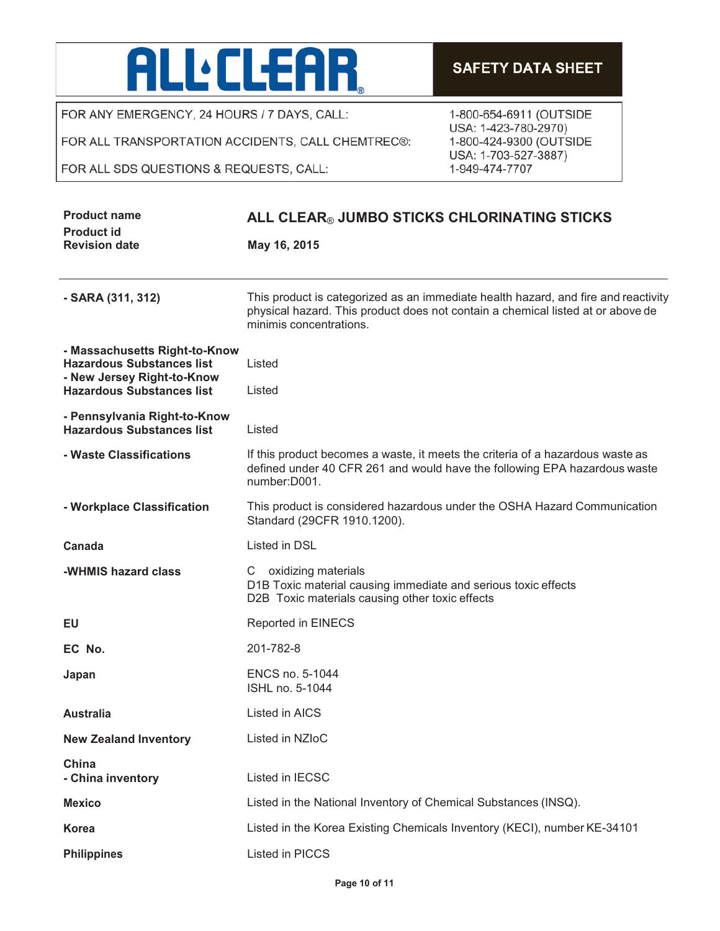# ALL'ELEAR

FOR ANY EMERGENCY, 24 HOURS / 7 DAYS, CALL:

FOR ALL TRANSPORTATION ACCIDENTS, CALL CHEMTREC®:

#### FOR ALL SDS QUESTIONS & REQUESTS, CALL:

### **SAFETY DATA SHEET**

1-800-654-6911 (OUTSIDE USA: 1-423-780-2970) 1-800-424-9300 (OUTSIDE USA: 1-703-527-3887) 1-949-474-7707

| <b>Product name</b><br><b>Product id</b>                          | ALL CLEAR® JUMBO STICKS CHLORINATING STICKS                                                                                                                                                      |
|-------------------------------------------------------------------|--------------------------------------------------------------------------------------------------------------------------------------------------------------------------------------------------|
| <b>Revision date</b>                                              | May 16, 2015                                                                                                                                                                                     |
| - SARA (311, 312)                                                 | This product is categorized as an immediate health hazard, and fire and reactivity<br>physical hazard. This product does not contain a chemical listed at or above de<br>minimis concentrations. |
| - Massachusetts Right-to-Know<br><b>Hazardous Substances list</b> | Listed                                                                                                                                                                                           |
| - New Jersey Right-to-Know<br><b>Hazardous Substances list</b>    | Listed                                                                                                                                                                                           |
| - Pennsylvania Right-to-Know<br><b>Hazardous Substances list</b>  | Listed                                                                                                                                                                                           |
| - Waste Classifications                                           | If this product becomes a waste, it meets the criteria of a hazardous waste as<br>defined under 40 CFR 261 and would have the following EPA hazardous waste<br>number: D001.                     |
| - Workplace Classification                                        | This product is considered hazardous under the OSHA Hazard Communication<br>Standard (29CFR 1910.1200).                                                                                          |
| Canada                                                            | Listed in DSL                                                                                                                                                                                    |
| -WHMIS hazard class                                               | C oxidizing materials<br>D1B Toxic material causing immediate and serious toxic effects<br>D2B Toxic materials causing other toxic effects                                                       |
| EU                                                                | Reported in EINECS                                                                                                                                                                               |
| EC No.                                                            | 201-782-8                                                                                                                                                                                        |
| Japan                                                             | ENCS no. 5-1044<br>ISHL no. 5-1044                                                                                                                                                               |
| <b>Australia</b>                                                  | Listed in AICS                                                                                                                                                                                   |
| <b>New Zealand Inventory</b>                                      | Listed in NZIoC                                                                                                                                                                                  |
| China<br>- China inventory                                        | Listed in IECSC                                                                                                                                                                                  |
| <b>Mexico</b>                                                     | Listed in the National Inventory of Chemical Substances (INSQ).                                                                                                                                  |
| <b>Korea</b>                                                      | Listed in the Korea Existing Chemicals Inventory (KECI), number KE-34101                                                                                                                         |
| <b>Philippines</b>                                                | Listed in PICCS                                                                                                                                                                                  |